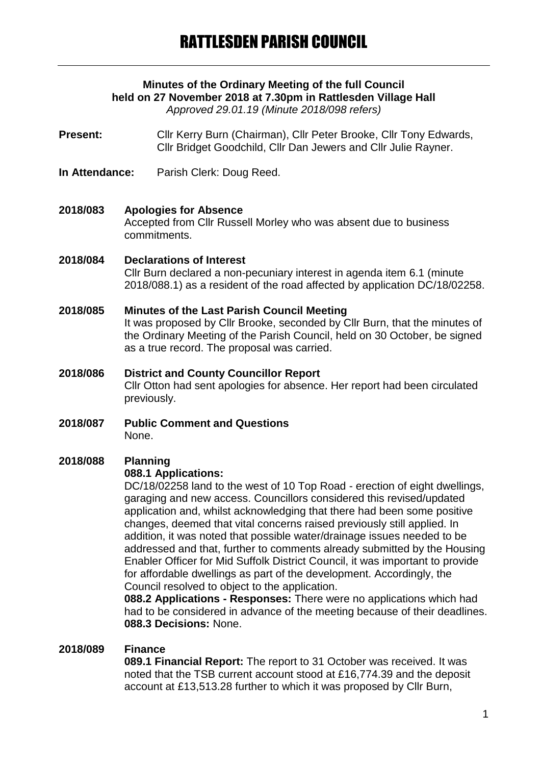# **Minutes of the Ordinary Meeting of the full Council held on 27 November 2018 at 7.30pm in Rattlesden Village Hall**

*Approved 29.01.19 (Minute 2018/098 refers)*

**Present:** Cllr Kerry Burn (Chairman), Cllr Peter Brooke, Cllr Tony Edwards, Cllr Bridget Goodchild, Cllr Dan Jewers and Cllr Julie Rayner.

**In Attendance:** Parish Clerk: Doug Reed.

#### **2018/083 Apologies for Absence**

Accepted from Cllr Russell Morley who was absent due to business commitments.

#### **2018/084 Declarations of Interest**

Cllr Burn declared a non-pecuniary interest in agenda item 6.1 (minute 2018/088.1) as a resident of the road affected by application DC/18/02258.

#### **2018/085 Minutes of the Last Parish Council Meeting**

It was proposed by Cllr Brooke, seconded by Cllr Burn, that the minutes of the Ordinary Meeting of the Parish Council, held on 30 October, be signed as a true record. The proposal was carried.

# **2018/086 District and County Councillor Report** Cllr Otton had sent apologies for absence. Her report had been circulated previously.

**2018/087 Public Comment and Questions** None.

# **2018/088 Planning**

#### **088.1 Applications:**

DC/18/02258 land to the west of 10 Top Road - erection of eight dwellings, garaging and new access. Councillors considered this revised/updated application and, whilst acknowledging that there had been some positive changes, deemed that vital concerns raised previously still applied. In addition, it was noted that possible water/drainage issues needed to be addressed and that, further to comments already submitted by the Housing Enabler Officer for Mid Suffolk District Council, it was important to provide for affordable dwellings as part of the development. Accordingly, the Council resolved to object to the application.

**088.2 Applications - Responses:** There were no applications which had had to be considered in advance of the meeting because of their deadlines. **088.3 Decisions:** None.

#### **2018/089 Finance**

**089.1 Financial Report:** The report to 31 October was received. It was noted that the TSB current account stood at £16,774.39 and the deposit account at £13,513.28 further to which it was proposed by Cllr Burn,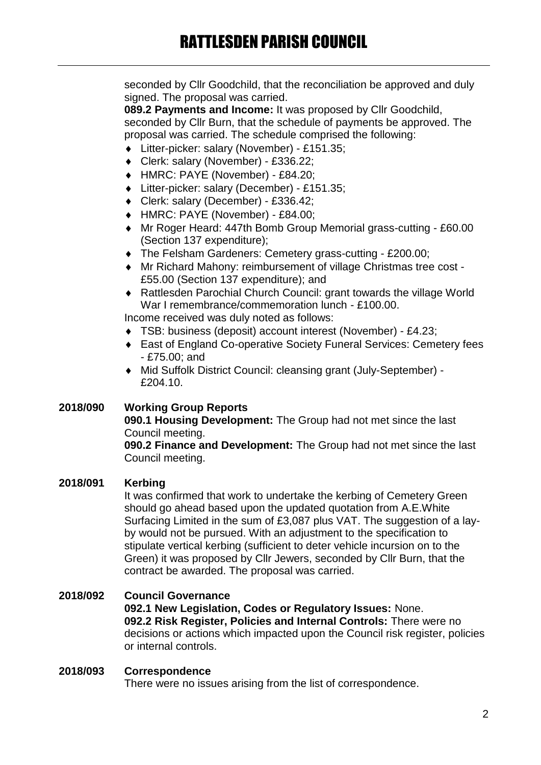seconded by Cllr Goodchild, that the reconciliation be approved and duly signed. The proposal was carried.

**089.2 Payments and Income:** It was proposed by Cllr Goodchild, seconded by Cllr Burn, that the schedule of payments be approved. The proposal was carried. The schedule comprised the following:

- Litter-picker: salary (November) £151.35;
- Clerk: salary (November) £336.22;
- HMRC: PAYE (November) £84.20;
- Litter-picker: salary (December) £151.35;
- Clerk: salary (December) £336.42;
- HMRC: PAYE (November) £84.00;
- Mr Roger Heard: 447th Bomb Group Memorial grass-cutting £60.00 (Section 137 expenditure);
- The Felsham Gardeners: Cemetery grass-cutting £200.00;
- Mr Richard Mahony: reimbursement of village Christmas tree cost £55.00 (Section 137 expenditure); and
- Rattlesden Parochial Church Council: grant towards the village World War I remembrance/commemoration lunch - £100.00.

Income received was duly noted as follows:

- TSB: business (deposit) account interest (November) £4.23;
- East of England Co-operative Society Funeral Services: Cemetery fees - £75.00; and
- Mid Suffolk District Council: cleansing grant (July-September) £204.10.

#### **2018/090 Working Group Reports**

**090.1 Housing Development:** The Group had not met since the last Council meeting.

**090.2 Finance and Development:** The Group had not met since the last Council meeting.

### **2018/091 Kerbing**

It was confirmed that work to undertake the kerbing of Cemetery Green should go ahead based upon the updated quotation from A.E.White Surfacing Limited in the sum of £3,087 plus VAT. The suggestion of a layby would not be pursued. With an adjustment to the specification to stipulate vertical kerbing (sufficient to deter vehicle incursion on to the Green) it was proposed by Cllr Jewers, seconded by Cllr Burn, that the contract be awarded. The proposal was carried.

#### **2018/092 Council Governance 092.1 New Legislation, Codes or Regulatory Issues:** None. **092.2 Risk Register, Policies and Internal Controls:** There were no decisions or actions which impacted upon the Council risk register, policies or internal controls.

#### **2018/093 Correspondence**

There were no issues arising from the list of correspondence.